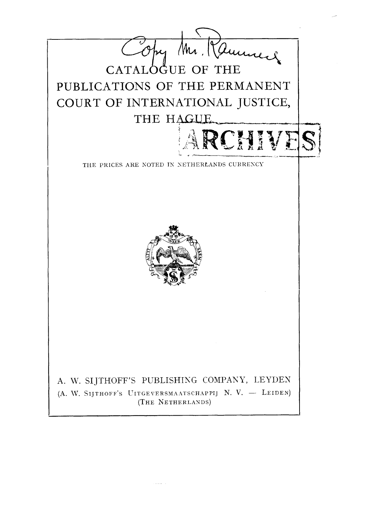

الفاقيات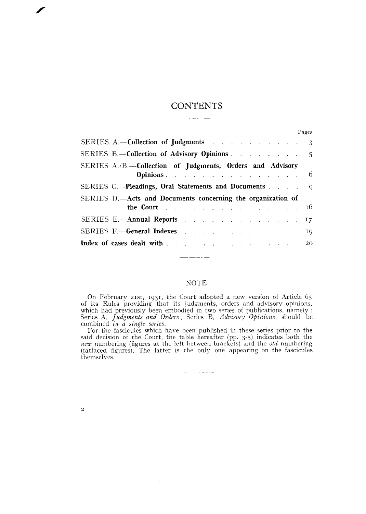# **CONTENTS** سندار المسارة

|                                                                                | Pages |
|--------------------------------------------------------------------------------|-------|
| SERIES A.-Collection of Judgments 3                                            |       |
| SERIES B.-Collection of Advisory Opinions $\ldots$ $\ldots$ $\ldots$ 5         |       |
| SERIES A./B.-Collection of Judgments, Orders and Advisory<br><b>Opinions</b> 6 |       |
| SERIES C.—Pleadings, Oral Statements and Documents 9                           |       |
| SERIES D.—Acts and Documents concerning the organization of<br>the Court 16    |       |
| SERIES E.—Annual Reports 17                                                    |       |
| SERIES F.-General Indexes 19                                                   |       |
| Index of cases dealt with 20                                                   |       |

## **NOTE**

 $\overline{\phantom{a}}$ 

On February 21st, 1931, the Court adopted a new version of Article 65 of its Kules providing that its judgments, orders and advisory opinions, or its reates providing that its judgments, orders and advisory opinions, which had previously been embodied in two series of publications, namely : Series *A, Judgments and Orders ;* Series *B, Advisory Opinions*, should

For the fascicules which have been published in these series prior to the said decision of the Court, the table hereafter (pp. 3-5) indicates both the new numbering (figures at the left between brackets) and the *old* numbering (fatfaced figures). The latter is the only one appearing on the fascicules themselves.

 $\sim 10^{11}$  and  $\sim 10^{11}$  and  $\sim 10^{11}$ 

 $\mathcal{A}^{\prime}$ 

 $\mathbf{2}% \in\mathbb{Z}_{+}^{d}[z,\bar{z}]$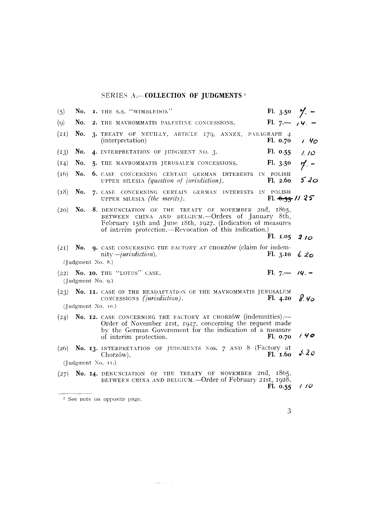# SERIES A.-COLLECTION OF JUDGMENTS<sup>3</sup>

| (5)  | No.               | I. THE S.S. "WIMBLEDON"                                                                                                                                                                                                            | Fl. 3.50 $\frac{1}{2}$ . - |       |
|------|-------------------|------------------------------------------------------------------------------------------------------------------------------------------------------------------------------------------------------------------------------------|----------------------------|-------|
| (q)  | No.               | 2. THE MAVROMMATIS PALESTINE CONCESSIONS.                                                                                                                                                                                          | Fl. $7 - 14 =$             |       |
| (II) | No.               | 3. TREATY OF NEUILLY, ARTICLE 179, ANNEX, PARAGRAPH 4<br>(interpretation)                                                                                                                                                          | F1. 0.70                   | 1.4c  |
| (13) | No.               | 4. INTERPRETATION OF JUDGMENT NO. 3.                                                                                                                                                                                               | F1. 0.55                   | 1.10  |
| (14) | No.               | 5. THE MAVROMMATIS JERUSALEM CONCESSIONS.                                                                                                                                                                                          | F1.3.50                    | $7 -$ |
| (16) | No.               | 6. CASE CONCERNING CERTAIN GERMAN INTERESTS IN POLISH<br>UPPER SILESIA (question of jurisdiction).                                                                                                                                 | F1.2.60                    | 520   |
| (18) | No.               | 7. CASE CONCERNING CERTAIN GERMAN INTERESTS IN POLISH<br>UPPER SILESIA (the merits).                                                                                                                                               | Fl. $6.55 / 1.25$          |       |
| (20) | No.               | 8. DENUNCIATION OF THE TREATY OF NOVEMBER 2nd, 1865,<br>BETWEEN CHINA AND BELGIUM.--Orders of January 8th,<br>February 15th and June 18th, 1927. (Indication of measures<br>of interim protection.—Revocation of this indication.) |                            |       |
|      |                   |                                                                                                                                                                                                                                    | F1. 1.05                   | 210   |
| (2I) | No.               | <b>9.</b> CASE CONCERNING THE FACTORY AT CHORZÓW (claim for indem-<br>nity— <i>inrisdiction</i> ).                                                                                                                                 | F1. 3.10                   | 6.20  |
|      | (Judgment No. 8.) |                                                                                                                                                                                                                                    |                            |       |
|      | (Judgment No. 9.) | $(22)$ No. 10. THE "LOTUS" CASE.                                                                                                                                                                                                   | Fl. $7 - 14 -$             |       |
| (23) |                   | No. II. CASE OF THE READAPTATION OF THE MAVROMMATIS JERUSALEM<br>CONCESSIONS (jurisdiction).<br>(Judgment No. 10.)                                                                                                                 | F1.4.20                    | 8.40  |
| (24) |                   | No. 12. CASE CONCERNING THE FACTORY AT CHORZÓW (indemnities).-<br>Order of November 21st, 1927, concerning the request made<br>by the German Government for the indication of a measure<br>of interim protection.                  | F1. 0.70                   | 140   |
| (26) |                   | No. 13. INTERPRETATION OF JUDGMENTS NOS. 7 AND 8 (Factory at<br>Chorzów).                                                                                                                                                          | Fl. 1.60                   | 5.20  |
|      |                   | (Judgment No. 11.)                                                                                                                                                                                                                 |                            |       |
| (27) |                   | No. 14. DENUNCIATION OF THE TREATY OF NOVEMBER 2nd, 1865,<br>BETWEEN CHINA AND BELGIUM.-Order of February 21st, 1928.                                                                                                              | F1. 0.55                   | 110   |
|      |                   | <sup>1</sup> See note on opposite page.                                                                                                                                                                                            |                            |       |

 $\label{eq:1} \left\langle \left( \left( \left( \mathbf{x}, \mathbf{y} \right) \right) \right) \right\rangle \left( \left( \mathbf{x}, \mathbf{y} \right) \right) \right\rangle$ 

 $\overline{3}$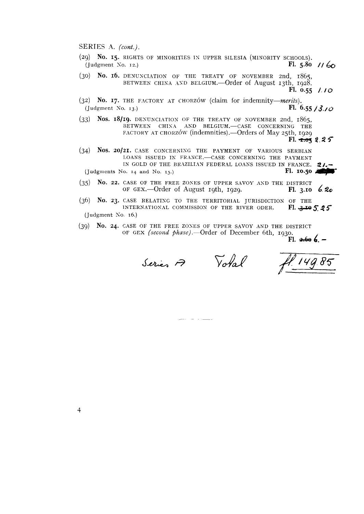- (29) **No. 15.** RIGHTS OF MINORITIES **IS** UPPER SILESIA (MINORITY SCHOOLS). (Judgment So. **12.) FI. 5.80** // &
- (30) **No. 16.** DENUXCIATION OF THE TKEATY OF NOVEMBER znd, 1865, BETWEEN CHINA AND BELGIUM.- $Order~of$  August 13th, 1928.

- (32) **No. 17.** THE FACTORY AT CHORZOW (claim for indemnity-merits).<br>(Judgment No. 13.)<br>Fl. 6  $\text{Fl. } 6.55 / 3.70$
- (33) Nos. 18/19. DENUNCIATION OF THE TREATY OF NOVEMBER 2nd, 1865, BETWEEN CHINA AND BELGIUM.-CASE CONCERNING THE FACTORY AT CHORZÓW (indemnities). - Orders of May 25th, 1929 **F1.** -xq **2.2 5**
- (34) Nos. 20/21. CASE CONCERNING THE PAYMENT OF VARIOUS SERBIAN LOANS ISSUED IN FRANCE.- CASE CONCERNING THE PAYMENT IN GOLD OF THE BRAZILIAN FEDERAL LOANS ISSUED IN FRANCE. 2/.<br><sup>1</sup>0. 14 and No. 15.) **FI. 10.50**  $\left(\begin{matrix} \text{Judgments No. 14 and No. 15.} \end{matrix}\right)$
- (35) No. 22. CASE OF THE FREE ZONES OF UPPER SAVOY AND THE DISTRICT OF GEX.—Order of August 19th, 1929. **Fl. 3.10 6.20** OF GEX.-Order of August 19th, 1929.
- (36) No. 23. CASE RELATING TO THE TERRITORIAL JURISDICTION OF THE INTERNATIONAL COMMISSION OF THE RIVER ODER. Fl. 3.19 5.25 INTERNATIONAL COMMISSION OF THE RIVER ODER. (Judgment *So.* 16.)
- (39) **No. 24.** CASE OF THE FREE ZOSES OF UPPER SAVOY AND THE DISTRICT OF GEX (second phase).--Order of December 6th, 1930.  $FL.$   $4.606 -$

Series A

Votal

 $\overline{4}$ 

**Fi. 0.55** /. **/O**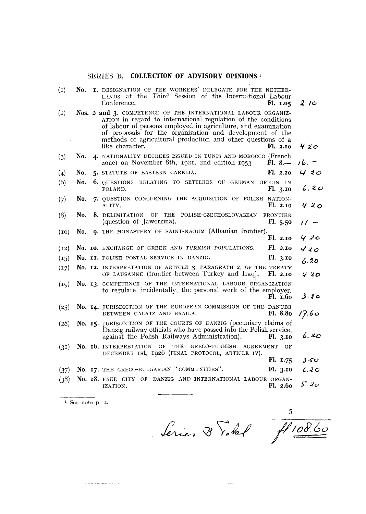### SERIES B. **COLLECTION OF ADVISORY OPINIONS**<sup>1</sup>

| $\left( 1 \right)$ | No. | I. DESIGNATION OF THE WORKERS' DELEGATE FOR THE NETHER-<br>LANDS at the Third Session of the International Labour<br>Conference.                                                                                                                                                                                                              | Fl. 1.05                   | 210                   |
|--------------------|-----|-----------------------------------------------------------------------------------------------------------------------------------------------------------------------------------------------------------------------------------------------------------------------------------------------------------------------------------------------|----------------------------|-----------------------|
| (2)                |     | Nos. 2 and 3. COMPETENCE OF THE INTERNATIONAL LABOUR ORGANIZ-<br>ATION in regard to international regulation of the conditions<br>of labour of persons employed in agriculture, and examination<br>of proposals for the organization and development of the<br>methods of agricultural production and other questions of a<br>like character. | F1.2.10                    | 4.20                  |
| (3)                | No. | 4. NATIONALITY DECREES ISSUED IN TUNIS AND MOROCCO (French<br>zone) on November 8th, 1921. 2nd edition 1953                                                                                                                                                                                                                                   | $F1.8 -$                   | $16. -$               |
| (4)                | No. | 5. STATUTE OF EASTERN CARELIA.                                                                                                                                                                                                                                                                                                                | Fl. 2.10                   | 4.20                  |
| (6)                | No. | <b>6.</b> QUESTIONS RELATING TO SETTLERS OF GERMAN<br>POLAND.                                                                                                                                                                                                                                                                                 | ORIGIN IN<br>F1.3.10       | 6.20                  |
| (7)                | No. | 7. QUESTION CONCERNING THE ACQUISITION OF POLISH NATION-<br>ALITY.                                                                                                                                                                                                                                                                            | Fl. 2.10                   | 4.20                  |
| (8)                | No. | 8. DELIMITATION OF THE<br>POLISH-CZECHOSLOVAKIAN<br>(question of Jaworzina).                                                                                                                                                                                                                                                                  | <b>FRONTIER</b><br>F1.5.50 | $\prime\prime\cdot$ – |
| (10)               | No. | 9. THE MONASTERY OF SAINT-NAOUM (Albanian frontier).                                                                                                                                                                                                                                                                                          | F1.2.10                    | 420                   |
| (12)               |     | No. 10. EXCHANGE OF GREEK AND TURKISH POPULATIONS.                                                                                                                                                                                                                                                                                            | Fl. 2.10                   | 4.20                  |
| (15)               |     | No. II, POLISH POSTAL SERVICE IN DANZIG.                                                                                                                                                                                                                                                                                                      | Fl. 3.10                   | 6.20                  |
| (17)               |     | No. 12. INTERPRETATION OF ARTICLE 3, PARAGRAPH 2, OF THE TREATY<br>OF LAUSANNE (frontier between Turkey and Iraq).                                                                                                                                                                                                                            | Fl. 2.10                   | 420                   |
| (19)               |     | No. 13. COMPETENCE OF THE INTERNATIONAL LABOUR ORGANIZATION<br>to regulate, incidentally, the personal work of the employer.                                                                                                                                                                                                                  | Fl. 1.60                   | ە 2 ك                 |
| (25)               |     | No. 14. JURISDICTION OF THE EUROPEAN COMMISSION OF THE DANUBE<br>BETWEEN GALATZ AND BRAILA.                                                                                                                                                                                                                                                   | Fl. 8.80                   | 17.60                 |
| (28)               |     | No. 15. JURISDICTION OF THE COURTS OF DANZIG (pecuniary claims of<br>Danzig railway officials who have passed into the Polish service,<br>against the Polish Railways Administration).                                                                                                                                                        | F1. 3.10                   | 6. zc                 |
| (3I)               |     | No. 16. INTERPRETATION OF THE GRECO-TURKISH AGREEMENT<br>DECEMBER ISt, 1926 (FINAL PROTOCOL, ARTICLE IV).                                                                                                                                                                                                                                     | OF                         |                       |
|                    |     |                                                                                                                                                                                                                                                                                                                                               | Fl. 1.75                   | 350                   |
| (37)               |     | No. 17. THE GRECO-BULGARIAN "COMMUNITIES".                                                                                                                                                                                                                                                                                                    | Fl. 3.10                   | L.20                  |
| (38)               |     | No. 18. FREE CITY OF DANZIG AND INTERNATIONAL LABOUR ORGAN-<br>IZATION.                                                                                                                                                                                                                                                                       | F1.2.60                    | $5 - 20$              |

**1** *See* note **p. 2.** 

 $\label{eq:1} \mathcal{L}(\mathcal{L}(\mathcal{L}(\mathcal{L})) = \mathcal{L}(\mathcal{L}(\mathcal{L}(\mathcal{L}(\mathcal{L}(\mathcal{L}(\mathcal{L}(\mathcal{L}(\mathcal{L}(\mathcal{L}(\mathcal{L}(\mathcal{L}(\mathcal{L}(\mathcal{L}(\mathcal{L}(\mathcal{L}(\mathcal{L}(\mathcal{L}(\mathcal{L}(\mathcal{L}(\mathcal{L}(\mathcal{L}(\mathcal{L}(\mathcal{L}(\mathcal{L}(\mathcal{L}(\mathcal{L}(\mathcal{L}(\mathcal{L}(\mathcal{L}(\mathcal{L}(\math$ 

Serie, B Votel 7108.60

 $\sim 100$  and the mass of the contract  $\sim 10^{-1}$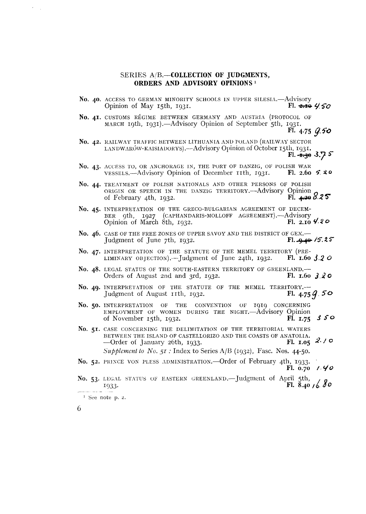#### SERIES A/B.-COLLECTION OF JUDGMENTS, ORDERS AND ADVISORY OPINIONS<sup>1</sup>

- No. 40. ACCESS TO GERMAN MINORITY SCHOOLS IN UPPER SILESIA. Advisory Opinion of May 15th, 1931.  $F1.2.1044/50$
- No. 41. CUSTOMS RÉGIME BETWEEN GERMANY AND AUSTRIA (PROTOCOL OF MARCH 19th, 1931).—Advisory Opinion of September 5th, 1931.
	- Fl. 4.75 G.50
- No. 42. RAILWAY TRAFFIC BETWEEN LITHUANIA AND POLAND (RAILWAY SECTOR LANDWARÓW-KAISIADORYS).-Advisory Opinion of October 15th, 1931. Fl.  $\pm$  3.7 5
- No. 43. ACCESS TO, OR ANCHORAGE IN, THE PORT OF DANZIG, OF POLISH WAR VESSELS.—Advisory Opinion of December 11th, 1931. Fl. 2.60 5.20
- No. 44. TREATMENT OF POLISH NATIONALS AND OTHER PERSONS OF POLISH ORIGIN OR SPEECH IN THE DANZIG TERRITORY .- Advisory Opinion Ff.  $4.298.25$ of February 4th, 1932.
- No. 45. INTERPRETATION OF THE GRECO-BULGARIAN AGREEMENT OF DECEM-BER 9th, 1927 (CAPHANDARIS-MOLLOFF AGREEMENT).--Advisory<br>Opinion of March 8th, 1932. Fl. 2.10 Fl. 2.10  $4.20$
- No. 46. CASE OF THE FREE ZONES OF UPPER SAVOY AND THE DISTRICT OF GEX.-Judgment of June 7th, 1932.  $F1.9.49.75.25$
- No. 47. INTERPRETATION OF THE STATUTE OF THE MEMEL TERRITORY (PRE-LIMINARY OBJECTION). - Judgment of June 24th,  $1932$ . Fl. 1.60  $3.2$  O
- No. 48. LEGAL STATUS OF THE SOUTH-EASTERN TERRITORY OF GREENLAND. Orders of August 2nd and 3rd, 1932. Fl. 1.60  $3.20$
- No. 49. INTERPRETATION OF THE STATUTE OF THE MEMEL TERRITORY.-Judgment of August 11th, 1932. Fl. 4.75  $9.50$
- No. 50. INTERPRETATION OF THE CONVENTION OF 1919 CONCERNING<br>EMPLOYMENT OF WOMEN DURING THE NIGHT. Advisory Opinion  $3.50$ of November 15th, 1932. Fl. 1.75
- No. 51. CASE CONCERNING THE DELIMITATION OF THE TERRITORIAL WATERS BETWEEN THE ISLAND OF CASTELLORIZO AND THE COASTS OF ANATOLIA.  $2.70$ -Order of January 26th, 1933. Fl. 1.05 Supplement to No.  $5I$ : Index to Series A/B (1932), Fasc. Nos. 44-50.

- No. 52. PRINCE VON PLESS ADMINISTRATION. Order of February 4th, 1933.  $1.40$  $F1. 0.70$
- No. 53. LEGAL STATUS OF EASTERN GREENLAND.-Judgment of April 5th, Fl.  $8.40, 6.80$ 1933.

6

 $\overline{\phantom{a}}$ 

 $1$  See note p. 2.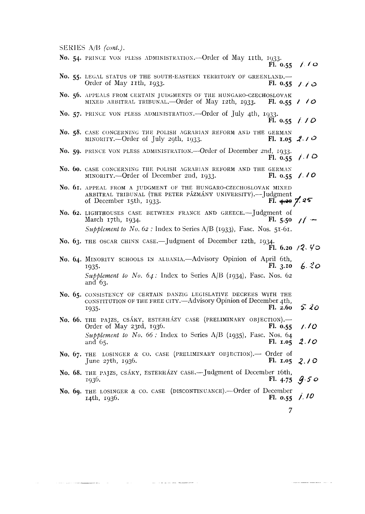SERIES A/B (cont.).

|  | No. 54. PRINCE VON PLESS ADMINISTRATION. - Order of May 11th, 1933.<br>Fl. 0.55 $1.70$                                                                                                                |                          |
|--|-------------------------------------------------------------------------------------------------------------------------------------------------------------------------------------------------------|--------------------------|
|  | No. 55. LEGAL STATUS OF THE SOUTH-EASTERN TERRITORY OF GREENLAND.<br>Order of May 11th, 1933.<br>El. 0.55 / / 0                                                                                       |                          |
|  | No. 56. APPEALS FROM CERTAIN JUDGMENTS OF THE HUNGARO-CZECHOSLOVAK<br>MIXED ARBITRAL TRIBUNAL. - Order of May 12th, 1933.<br>F1. 0.55                                                                 | 110                      |
|  | No. 57. PRINCE VON PLESS ADMINISTRATION. -- Order of July 4th, 1933.<br>F1. 0.55                                                                                                                      | 110                      |
|  | No. 58. CASE CONCERNING THE POLISH AGRARIAN REFORM AND THE GERMAN<br>MINORITY.-Order of July 29th, 1933.<br>Fl. 1.05 2.10                                                                             |                          |
|  | No. 59. PRINCE VON PLESS ADMINISTRATION. - Order of December 2nd, 1933.<br>F1.0.55                                                                                                                    | 7.10                     |
|  | No. 60. CASE CONCERNING THE POLISH AGRARIAN REFORM AND THE GERMAN<br>MINORITY.--Order of December 2nd, 1933.<br>F1.0.55                                                                               | 1.10                     |
|  | No. 61. APPEAL FROM A JUDGMENT OF THE HUNGARO-CZECHOSLOVAK MIXED<br>ARBITRAL TRIBUNAL (THE PETER PÁZMÁNY UNIVERSITY).--Judgment<br>Fl. $\leftrightarrow$ 7.25<br>of December 15th, 1933.              |                          |
|  | No. 62. LIGHTHOUSES CASE BETWEEN FRANCE AND GREECE.-Judgment of<br>March 17th, 1934.<br>F1.5.50<br>Supplement to No. 62 : Index to Series A/B (1933), Fasc. Nos. 51-61.                               | $11 -$                   |
|  | No. 63. THE OSCAR CHINN CASE.—Judgment of December 12th, 1934.                                                                                                                                        | Fl. 6.20 $/2.$ Y $\circ$ |
|  | No. 64. MINORITY SCHOOLS IN ALBANIA. Advisory Opinion of April 6th,<br>F1.3.10<br>1935.<br>Supplement to No. $64$ : Index to Series A/B (1934), Fasc. Nos. 62<br>and 63.                              | 6.20                     |
|  | No. 65. CONSISTENCY OF CERTAIN DANZIG LEGISLATIVE DECREES WITH THE<br>CONSTITUTION OF THE FREE CITY. - Advisory Opinion of December 4th,<br>Fl. 2.60<br>1935.                                         | 5.20                     |
|  | No. 66. THE PAJZS, CSÁKY, ESTERHÁZY CASE (PRELIMINARY OBJECTION).-<br>Order of May 23rd, 1936.<br>Fl. 0.55<br>Supplement to No. 66 : Index to Series A/B (1935), Fasc. Nos. 64<br>F1. 1.05<br>and 65. | 1.10<br>2.10             |
|  | No. 67. THE LOSINGER & CO. CASE (PRELIMINARY OBJECTION). Order of<br>F1. 1.05<br>$\frac{7}{1}$ and $\frac{2}{7}$ th, $\frac{1036}{10}$                                                                | 2.10                     |
|  | No. 68. THE PAJZS, CSÁKY, ESTERHÁZY CASE.—Judgment of December 16th,<br>Fl. 4.75<br>1936.                                                                                                             | 9.50                     |
|  | No. 69. THE LOSINGER & CO. CASE (DISCONTINUANCE).- Order of December<br>F1. 0.55<br>14th, 1936.                                                                                                       | 1.10                     |
|  |                                                                                                                                                                                                       |                          |

 $\label{eq:1} \frac{1}{2} \left( \frac{1}{2} \right) \left( \frac{1}{2} \right) \left( \frac{1}{2} \right) \left( \frac{1}{2} \right) \left( \frac{1}{2} \right) \left( \frac{1}{2} \right) \left( \frac{1}{2} \right) \left( \frac{1}{2} \right) \left( \frac{1}{2} \right) \left( \frac{1}{2} \right) \left( \frac{1}{2} \right) \left( \frac{1}{2} \right) \left( \frac{1}{2} \right) \left( \frac{1}{2} \right) \left( \frac{1}{2} \right) \left( \frac{1}{2} \$ 

 $\bar{\mathcal{A}}$ 

 $\label{eq:1} \begin{array}{lllllllllllllll} \hline \textbf{1} & \textbf{1} & \textbf{1} & \textbf{1} & \textbf{1} & \textbf{1} & \textbf{1} & \textbf{1} & \textbf{1} & \textbf{1} & \textbf{1} & \textbf{1} & \textbf{1} & \textbf{1} & \textbf{1} & \textbf{1} & \textbf{1} & \textbf{1} & \textbf{1} & \textbf{1} & \textbf{1} & \textbf{1} & \textbf{1} & \textbf{1} & \textbf{1} & \textbf{1} & \textbf{1} & \textbf{1} &$ 

an<br>Herene a

 $\boldsymbol{7}$ 

 $\label{eq:constr} \mathcal{L}_{\text{intra}}(x_1) = \mathcal{L}_{\text{intra}}(x_1) + \mathcal{L}_{\text{intra}}(x_2) + \mathcal{L}_{\text{outtra}}(x_1) + \mathcal{L}_{\text{outtra}}(x_2) + \mathcal{L}_{\text{outtra}}(x_1) + \mathcal{L}_{\text{outtra}}(x_2) + \mathcal{L}_{\text{outtra}}(x_1) + \mathcal{L}_{\text{outtra}}(x_2) + \mathcal{L}_{\text{outtra}}(x_1) + \mathcal{L}_{\text{outtra}}(x_2) + \mathcal{L}_{\text{outtra}}(x$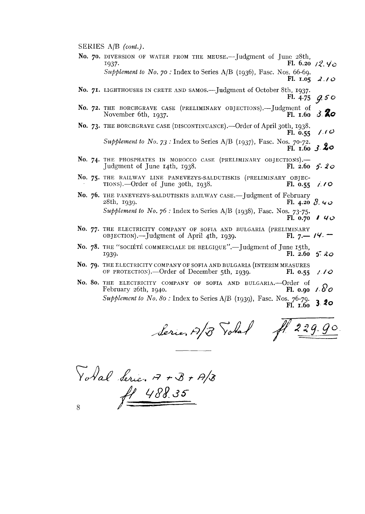SEKIES **A/B** *(cont.).* 

**No. 70.** DIVERSION OF WATER FROM THE MEUSE.—Judgment of June 28th, 1937. 1937. **F1. 6.20** 12. *cja Supplement to No. 70:* Index to Series A/B (1936), Fasc. Nos. 66-69. **Pl.** 1.05  $2.10$ 

No. 71. LIGHTHOUSES IN CRETE AND SAMOS.—Judgment of October 8th, 1937.<br>Fl. 4.75 **FI\* 4-75 y. 5 0** 

- **No. 72.** THE BORCHGRAVE CASE (PRELIMINARY OBJECTIONS).—Judgment of November 6th, 1937.  $November 6th. 1937.$
- No. 73. THE BORCHGRAVE CASE (DISCONTINUANCE).—Order of April 3oth, 1938. **F1.**  $0.55$  // $0$

*Supplement to No. 73* : Index to Series A/B (1937), Fasc. Nos. 70-72. **F1. 2.60** *3.* **20** 

- No. 74. THE PHOSPHATES IN MOROCCO CASE (PRELIMINARY OBJECTIONS).-<br>Judgment of June 14th, 1938. **Fl. 2.60** Judgment of June 14th, 1938. **F1. 2.60 5. 20**
- No. 75. THE RAILWAY LINE PANEVEZYS-SALDUTISKIS (PRELIMINARY OBJECTIONS).—Order of June 30th, 1938. Fl. 0.55 TIONS).—Order of June 3oth, 1938. **FI. 0.55** *f l* **<b>O**
- No. 76. THE PANEVEZYS-SALDUTISKIS RAILWAY CASE.—Judgment of February 28th, 1939.<br>**FI. 4.20** 28th, 1939. **FI. 4.20 8. L/ 0**  *Supplement to No. 76 : Index to Series A/B (1938)*, Fasc. Nos. 73-75. **F1. 0.70 1 40**
- **No. 77.** THE ELECTRICITY COMPANY OF SOFIA AND BULGARIA (PRELIMINARY THE ELECTRICITY COMPANY OF SOFIA AND BULGARIA (PRELIMINARY OBJECTION).—Judgment of April 4th, 1939. **F1. 7.— 14.** –
- No. 78. THE "SOCIÉTÉ COMMERCIALE DE BELGIQUE".-Judgment of June 15th,  $F1. 2.60 \t{5.20}$
- No. 79. THE ELECTRICITY COMPANY OF SOFIA AND BULGARIA (INTERIM MEASURES OF PROTECTION).—Order of December 5th, 1939. **FI. 0.55**  $\angle$
- **No. 80.** THE ELECTRICITY COMPANY OF SOFIA AND BULGARIA.—Order of February 26th, 1940. **FI. 0.90** /  $\delta$ *Supplemcnt to No.* <sup>80</sup>: Index to Series A/B (1939)~ Fasc. Nos. 76-79. FI.  $\mathbf{r}$ .60 **3. 20**

Serie, A/B Total Al 229.90

Votal Serie. A + B + A/B  $f1 488.35$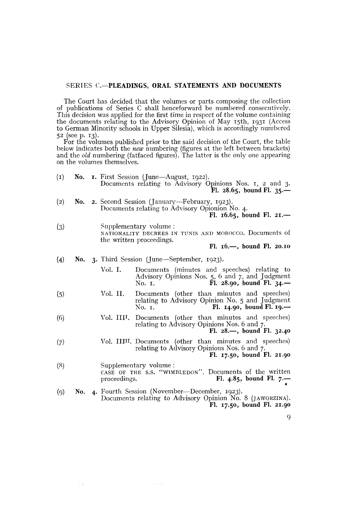#### SERIES **C.-PLEADINGS, ORAL STATEMENTS AND DOCUMENTS**

The Court has decidecl that the volumes or parts composing the collection of publications of Series C shall henceforward be numbered consecutively. This decision was applied for the first time in respect of the volume containing the documents relating to the Advisory Opinion of May 15th, 1931 (Access to German Minority schools in Upper Silesia), which is accordingly numbered 52 (see p. 13).

For the volumes published prior to the said decision of the Court, the table below indicates both the *new* numbering (figures at the left between brackets) and the *old* numbering (fatfaced figures). The latter is the only one appearing on the volumes themselves.

| (1)               | No. |              | <b>I.</b> First Session (June—August, 1922).<br>Documents relating to Advisory Opinions Nos. 1, 2 and 3.<br>Fl. $28.65$ , bound Fl. 35.—    |
|-------------------|-----|--------------|---------------------------------------------------------------------------------------------------------------------------------------------|
| $\left( 2\right)$ |     |              | No. 2. Second Session (January—February, 1923).<br>Documents relating to Advisory Opionion No. 4.<br>Fl. $16.65$ , bound Fl. 21.—           |
| (3)               |     |              | Supplementary volume:<br>NATIONALITY DECREES IN TUNIS AND MOROCCO. Documents of<br>the written proceedings.<br>Fl. $16.$ —, bound Fl. 20.10 |
| (4)               |     |              | No. 3. Third Session (June—September, 1923).                                                                                                |
|                   |     | Vol. I.      | Documents (minutes and speeches) relating to<br>Advisory Opinions Nos. 5, 6 and 7, and Judgment<br>Fl. 28.90, bound Fl. $34$ –<br>No. 1.    |
| (5)               |     | Vol. II.     | Documents (other than minutes and speeches)<br>relating to Advisory Opinion No. 5 and Judgment<br>Fl. $14.90$ , bound Fl. $19.$ —<br>No. 1. |
| (6)               |     | Vol. IIII.   | Documents (other than minutes and speeches)<br>relating to Advisory Opinions Nos. 6 and 7.<br>Fl. $28$ —, bound Fl. $32.40$                 |
| (7)               |     |              | Vol. IIIII. Documents (other than minutes and speeches)<br>relating to Advisory Opinions Nos. 6 and 7.<br>Fl. 17.50, bound Fl. 21.90        |
| (8)               |     | proceedings. | Supplementary volume:<br>CASE OF THE S.S. "WIMBLEDON". Documents of the written<br>Fl. 4.85, bound Fl. $7 -$                                |
| (9)               |     |              | No. 4. Fourth Session (November-December, 1923).<br>Documents relating to Advisory Opinion No. 8 (JAWORZINA).<br>Fl. 17.50, bound Fl. 21.90 |

 $\tau \rightarrow \tau$ 

 $\sim$   $\sim$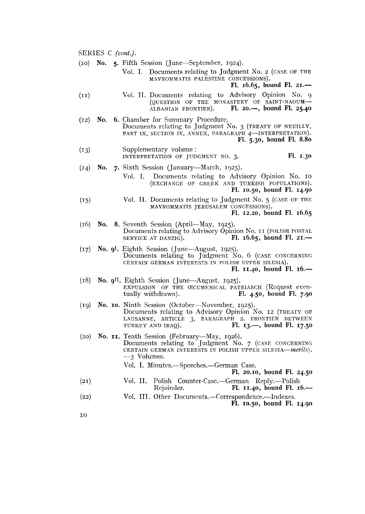SERIES C *(cont.).*  (IO) **No. 5.** Fifth Session (June-September, 1924). Vol. I. Documents relating to Judgment No. 2 (CASE OF THE MAVROMMATIS PALESTINE CONCESSIONS). **F1. 16.65, bound F1. 21.-**  (11) Vol. II. Documents relating to Advisory Opinion No. g (QUESTION OF THE MONASTERY OF SAINT-NAOUM-ALBANIAN FRONTIER). Fl. 20.-, bound Fl. 25.40 Fl. 20.-, bound Fl. 25.40 (12) **No. 6.** Chamber for Summary Procedure. Documents relating to Judgment No. **3** (TREATY OF NEUILLY, PART IX, SECTION IV, ANNEX, PARAGRAPH 4-INTERPRETATION). **F1. 5.30, bound F1. 8.80**  (13) Supplementary volume : INTERPRETATION OF JUDGMENT NO. 3. FI. 1.30 (14) **No.** 7. Sixth Session (January-March, 1925). Vol. 1. Documents relating to Advisory Opinion No. IO (EXCHANGE OF GREEK AND TURKISH POPULATIONS). **F1. 10.50, bound F1. 14.90**  (15) Vol. II. Documents relating to Judgment No. 5 (CASE OF THE MAVROMMATIS JERUSALEM CONCESSIONS). **F1. 12.20, bound F1. 16.65**  (16) **No. 8.** Seventh Session (April-May, 1925). Documents relating to Advisory Opinion No. 11 (POLISH POSTAL SERVICE AT DANZIG). Fl. 16.65, bound Fl. 21.— Fl. 16.65, bound Fl. 21.-(17) **No. 91.** Eighth Session (June-August, 1925). Documents relating to Judgment No. 6 (CASE CONCERNING CERTAIN GERMAN INTERESTS IN POLISH UPPER SILESIA). **F1. 11.40, bound F1. 16.-**  (18) **No.** 911. Eighth Session (June-August, 1925). EXPULSION OF THE CECUMENICAL PATRIARCH (Request even-<br>tually withdrawn). Fl. 4.50, bound Fl. 7.90 tually withdrawn) . **F1. 4.50, bound F1. 7.90**  (19) **No. IO.** Ninth Session (October-November, 1925). Documents relating to Advisory Opinion Xo. **12** (TREATY OF LAUSANNE, ARTICLE 3, PARAGRAPH 2. FRONTIER BETWEEN TURKEY AND IRAQ). Fl. 13.—, bound Fl. 17.50 Fl. 13.-, bound Fl. 17.50 (20) **No. II.** Tentli Session (February-May, 1926). Documents relating to Judgment No. 7 (CASE CONCERNING CERTAIN GERMAN INTERESTS IN POLISH UPPER SILESIA-merits). **-3** Volumes. Vol. I. Minutes.-Speeches.-German Case. **F1. 20.10, bound F1. 24.50**  (21) Vol. II. Polish Counter-Case.-German Rep1y.-Polish Rejoinder. **FI. 11.40, bound FI. 16.-**  (22) Vol. III. Other Documents.-Correspondence.-Indexes. **F1. 10.50, bound F1. 14.90**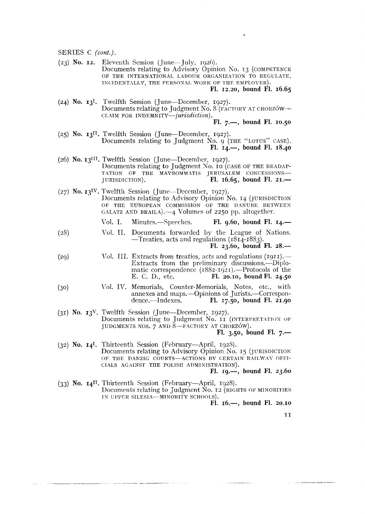$(23)$  **No. 12.** Eleventh Session (June-July, 1926). Documents relating to Advisory Opinion No. 13 (COMPETENCE OF THE INTERNATIONAL LABOUR ORGANIZATION TO REGULATE, INCIDENTALLY, THE PERSONAL WORK OF THE EMPLOYER).

**F1. 12.20, bound FI. 16.65** 

**(24) No. 131.** Twelfth Session (June-December, 1927). Documents relating to Judgment No. 8 (FACTORY AT CHORZOW-CLAIM FOR INDEMNITY--jurisdiction).

**F1. 7.-, bound F1. 10.50** 

- (25) **No. 1311.** Twelfth Session (June-December, 1927). Documents relating to Judgment No. 9 (THE "LOTUS" CASE). **F1. 14.-, bound F1. 18.40**
- (26) No. 13<sup>III</sup>. Twelfth Session (June-December, 1927). Documents relating to Judgment No. 10 (CASE OF THE READAP-TATION OF THE MAVROMMATIS JERUSALEM CONCESSIONS-JURISDICTION). **F1. 16.65, bound F1. 21.-**
- (27) No. **131V.** Twelftli Session (June-Dcccmber, 1927). 1)ocuments relating to Advisory Opinion No. 14 (JURISDICTION OF THE EUROPEAN COMMISSION OF THE DANUBE BETWEEN GALATZ AND BRAILA). $-4$  Volumes of 2250 pp. altogether.
	- Vol. I. Minutes.—Speeches. **Fl. 9.60, bound Fl. 14.—**
- (2s) Vol. **II.** Documents forwarded by the League of Nations.  $-$ Treaties, acts and regulations (1814-1883).

**F1. 23.60, bound F1. 28.-** 

- $(29)$  Vol. III. Extracts from treaties, acts and regulations  $(1911)$ . Extracts from the preliminary discussions.—Diplomatic correspondence (1882-1921).—Protocols of the<br>E. C. D., etc. **Fl. 20.10, bound Fl. 24.50** E. C. D., etc. **F1. 20.10, bound F1. 24.50**
- (30) 1'01. IV. Memorials, Counter-Memorials, Notes, etc., with annexes and maps.—Opinions of Jurists.—Correspon-<br>dence.—Indexes. **Fl. 17.50, bound Fl. 21.90** dence.-Indexes. **F1. 17.50, hound F1. 21.90**
- **(31) No. 13V** Twclfth Session (June-December, 1927). Documents relating to Judgment No. 11 (INTERPRETATION OF JUDGMENTS NOS. 7 AND 8-FACTORY AT CHORZÓW).

**F1.** 3.50, bound Fl. 7.-

(32) No. 14<sup>I</sup>. Thirteenth Session (February-April, 1928). Documents relating to Advisory Opinion No. 15 (JURISDICTION OF THE DANZIG COURTS-ACTIONS BY CERTAIN RAILWAY OFFI-CIALS AGAINST THE POLISH ADMINISTRATION).

**FI. 19.-, bound F1. 23.60** 

(33) **No. 1411.** Thirteentli Session (February-April, 1928). Documents relating to Judgment No. 12 (RIGHTS OF MINORITIES IN UPPER SILESIA-MINORITY SCHOOLS).

**F1. 16.-, bound F1. 20.10** 

II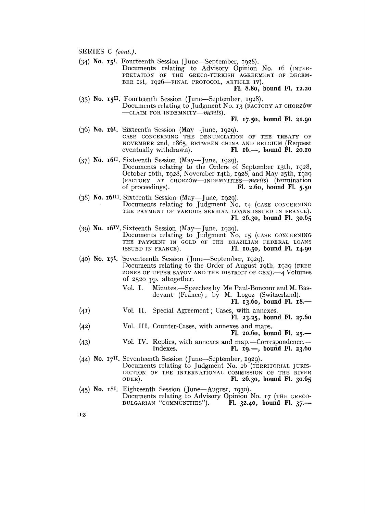(34) No. 15'. Fourteenth Session (June-September, 1928).

Documents relating to Advisory Opinion No. 16 (INTER-PRETATION OF THE GRECO-TURKISH AGREEMENT OF DECEM-BER ISt, 1926-FINAL PROTOCOL, ARTICLE IV).

**FI.** 8.80, bound **F1.** 12.20

(35) No.  $15^{11}$ . Fourteenth Session (June-September, 1928). Documents relating to Judgment No. 13 (FACTORY AT CHORZÓW -CLAIM FOR INDEMNITY-merits). **FI.** 17.50, bound **FI.** 21.90

- $(36)$  No.  $16<sup>I</sup>$ . Sixteenth Session (May-June, 1929). CASE CONCERNING THE DENUNCIATION OF THE TREATY OF NOVEMBER 2nd, 1865, BETWEEN CHINA AND BELGIUM (Request eventually withdrawn). Fl. 16.—, bound Fl. 20.10 eventually withdrawn). **F1.** 16.-, bound **FI.** 20.10
- **(37)** No. 1611. Sixteenth Session (May- June, 1929). Documents relating to the Orders of September 13th, 1928, October 16th, 1928, November 14th, 1928, and May 25th, 1929 (FACTORY AT CHORZOW-INDEMNITIES-merits) (termination of proceedings). Fl. 2.60, bound Fl. 5.50 of proceedings) . **FI.** 2.60, bound **FI.** 5.50
- (38) No. 16111. Sixteenth Session (May- June, 1929). Documents relating to Judgment No. 14 (CASE CONCERNING THE PAYMENT OF VARIOUS SERBIAN LOANS ISSUED IN FRANCE). **F1.** 26.30, bound **F1.** 30.65
- (39) No.  $16\frac{IV}{V}$ . Sixteenth Session (May—June, 1929). Documents relating to Judgment No. 15 (CASE CONCERNING THE PAYMENT IN GOLD OF THE BRAZILIAN FEDERAL LOANS ISSUED IN FRANCE). **FI.** 10.50, bound **F1.** 14.90
- (40) No. 171. Seventeenth Session (June-September, 1929). Documents relating to the Order of August roth, 1929 (FREE ZONES OF UPPER SAVOY AND THE DISTRICT OF GEX). $-4$  Volumes of 2520 **pl).** altogether.
	- Vol. I. Minutes.-Speeches by Me Paul-Boncour and M. Basdevant (France) ; by M. Logoz (Switzerland).
		- **FI.** 13.60, bound **F1.** 18.-
- (41) Vol. II. Special Agreement ; Cases, with annexes. **F1.** 23.25, bound **FI.** 27.60
- (42) Vol. III. Counter-Cases, with annexes and maps. **F1.** 20.60, bound **FI.** 25.-
- (43) Vol. IV. Replies, with annexes and map.-Correspondence.- Indexes. **F1.** 19.-, bound **F1.** 23.60
- (44) No. 17". Seventeenth Session (June-September, 1929). Documents relating to Judgment No. 16 (TERRITORIAL JURIS-DICTION OF THE INTERNATIONAL COMMISSION OF THE RIVER ODER). **F1.** 26.30, bound **F1.** 30.65
- (45) No. 181. Eighteenth Session (June-August, 1930). Documents relating to Advisory Opinion No. 17 (THE GRECO-BULGARIAN "COMMUNITIES"). Fl. 32.40, bound Fl. 37.— BULGARIAN "COMMUNITIES").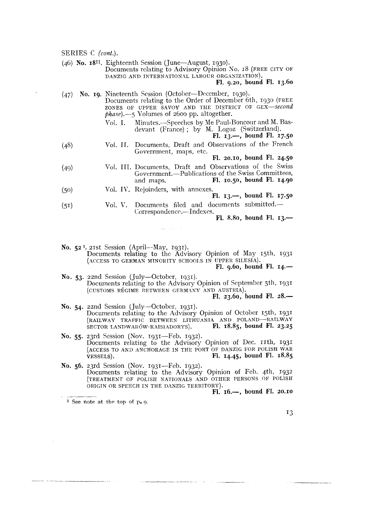(46) **No. 1811.** Eighteenth Session (June-August, 1930). Documents relating to Advisory Opinion No. 18 (FREE CITY OF DANZIG AND INTERNATION4L LABOUR ORGANIZATION). **F1. 9.20, bound FI. 13.60** 

- (47) No. 19. Nineteenth Session (October--December, 1930). Documents relating to the Order of December 6th, 1930 (FREE ZONES OF UPPER SAVOY AND THE DISTRICT OF GEX--second *fihase).-:,* Volumes of 2600 pp. altogether.
	- Vol. I. Minutes.-Speeches by Me Paul-Boncour and M. Basdevant (France); by M. Logoz (Switzerland).

**F1. 13.-,** bound **F1. 17.50** 

(48) Vol. **II.** Documents, Draft and Observations of the French Government, maps, etc.

**F1. 20.10, bound FI. 24.50** 

- (49) Vol. III. Documents, Draft and Observations of the Swiss Government.—Publications of the Swiss Committees,<br>and maps. Fl. 10.50, bound Fl. 14.90 and maps. **F1. 10.50, bound F1. 14.90**
- (50) Vol. IV. Rejoinders, with annexes.<br>**Fl. 13.-**, bound Fl. 17.50
- (51) Vol. V. Documents filed and documents submitted.-Correspondence.-Indexes.

and the company

**F1. 8.80, bound F1. 13.-** 

No. 52<sup>1</sup>. 21st Session (April--May, 1931). Documents relating to thc Advisory Opinion of May 15th, 1931 (ACCESS TO GERMAN MINORITY SCHOOLS IN UPPER SILESIA).

**F1. 9.60, bound FI. 14.-** 

**No. 53.** 22nd Session (July-October, 1931). Documents relating to the Advisory Opinion of Septemher 5th, 1931 (CUSTOMS RÉGIME BETWEEN GERMANY AND AUSTRIA).

**F1. 23.60, bound F1. 28.-** 

- **No. 54.** 22nd Session (July-October, 1931). Documents relating to the Advisory Opinion of October 15th, 1931 (RAILWAY TRAFFIC BETWEEN LITHUANIA AND POLAND-RAILWAY<br>SECTOR LANDWARÓW-KAISIADORYS). FI. 18.85, bound Fl. 23.25 SECTOR LANDWARÓW-KAISIADORYS).
- No. 55. 23rd Session (Nov. 1931-Feb. 1932). Documents relating to the Advisory Opinion of Dec. 11th, 1931 (ACCESS TO ANID ANCHORAGE IN THE PORT OF DANZIG FOR POLISH WAR VESSELS). **F1. 14.45, bound F1. 18.85**
- No. 56. 23rd Session (Nov. 1931-Feb. 1932). Documents relating to the Advisory Opinion of Feb. 4th, 1932 (TREATMENT OF POLISH NATIONALS AND OTHER PERSONS OF POLEH ORIGIN OR SPEECH IN THE DANZIG TERRITORY).<br>Fl.  $16.\rightarrow$ , bound Fl. 20.10 Documents relating to the Advisory Opinion of Feb. 4th, 1932<br>(TREATMENT OF POLISH NATIONALS AND OTHER PERSONS OF POLISH<br>ORIGIN OR SPEECH IN THE DANZIG TERRITORY).<br>Fl. 16.-, bound Fl. 20.10<br>I See note at the top of p. 9.

**<sup>l</sup>**See note **at** the top of p. 9.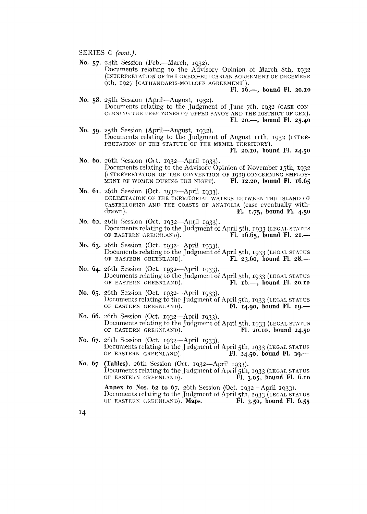No. 57. 24th Session (Feb.--March, 1932). Documents relating to the Advisory Opinion of March 8th, 1932 (INTERPRETATION OF THE GRECO-BULGARIAN AGREEMENT OF DECEMBER 9th, 1927 [CAPHANDARIS-MOLLOFF AGREEMENT]).

**F1. 16.-, bound F1. 20.10** 

- **No. 58.** 25th Session (April-August, 1932). Documents relating to the Judgment of June 7th, 1932 (CASE CON-CERNING THE FREE ZONES OF UPPER SAVOY AND THE DISTRICT OF GEX). **F1. 20.-, bound F1. 25.40**
- **No. 59.** 25th Session (April-August, 1932). Documents relating to the Judgment of August 11th, 1932 (INTER-PRETATION OF THE STATUTE OF THE MEMEL TERRITORY).
	- **F1. 20.10, bound F1. 24.50**
- **No. ho.** 26th Session (Oct. 1932-April 1933). Documents relating to the Advisory Opinion of Novcmber 15th, 1933 (INTERPRETATION OF THE CONVENTION OF 1919 CONCERNING EMPLOY-<br>MENT OF WOMEN DURING THE NIGHT). FI. 12.20, bound Fl. 16.65 MENT OF WOMEN DURING THE NIGHT).
- **No. 61.** 26th Session (Oct. 1932-April 1933). DELIMITATION OF THE TERRITORIAL WATERS BETWEEN THE ISLAND OF CASTELLORIZO AND THE COASTS OF ANATOLIA (case eventually with-<br>drawn).  $F1. 75,$  bound  $F1. 4.50$ drawn). **F1. 1.75, bound FI. 4.50**
- **No. 62.** 26th Scssion (Oct. 1932-April 1933). Documents relating to the Judgment of April 5th, 1933 (LEGAL STATUS OF EASTERN GREENLAND). Fl. 16.65, bound Fl. 21. Fl. 16.65, bound Fl. 21.-
- **No. 63.** 26th Session (Oct. 1932-April 1933). Documents relating to the Judgment of April 5th, 1933 (LEGAL STATUS OF EASTERN GREENLAND). Fl. 23.60, bound Fl. 28. Fl. 23.60, bound Fl. 28.-
- **No. 64.** 26th Session (Oct. 1932-April 1933). Documents relating to the Judgment of April 5th, 1933 (LEGAL STATUS OF EASTERN GREENLAND). Fl. 16.—, bound Fl. 20.10 OF EASTERN GREENLAND).
- **No. 65.** 26th Scssion (Oct. 1932-April 1933). Documents relating to the Judgment of April 5th, 1933 (LEGAL STATUS<br>OF EASTERN GREENLAND). **Fl. 14.90, bound Fl. 19.** OF EASTERN GREENLAND).
- **No. 66.** 26th Session (Oct. 1932-April 1933). Documents relating to the Judgment of April 5th, 1933 (LEGAL STATUS OF EASTERN GREENLAND). Fl. 20.10, bound 24.50 OF EASTERN GREENLAND).
- **No. 67.** 26th Session (Oct. 1932-April 1933). Documents relating to the Judgment of April 5th, 1933 (LEGAL STATUS OF EASTERN GREENLAND). Fl. 24.50, bound Fl. 29.— Fl. 24.50, bound Fl. 29.-
- **No. 67 (Tables).** 26th Session (Oct. 1932-April 1933). Documents relating to the Judgment of April 5th, 1933 (LEGAL STATUS OF EASTERN GREENLAND). **FI. 3.05, bound FI. 6.10**

**Annex to Nos. 62 to 67.** 26th Session (Oct. 1932-April 1933). Documents relating to the Judgment of April 5th, 1933 (LEGAL STATUS<br>OF EASTERN GREENLAND). **Maps. Fl. 3.50, bound Fl. 6.55** OF EASTERN GREENLAND). Maps.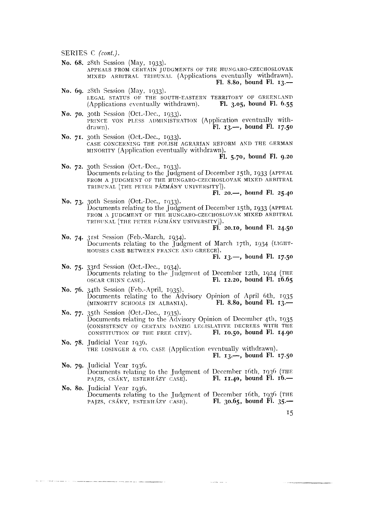we see the season and many of the company

- No. 68. 28th Session (May, 1933). APPEALS FROM CERTAIN JUDGMENTS OF THE HUNGARO-CZECHOSLOVAK MIXED ARBITRAL TRIBUNAL (Applications eventually withdrawn). Fl. 8.80, bound Fl.  $13$ .
- No. 60. 28th Session (May. 1933). LEGAL STATUS OF THE SOUTH-EASTERN TERRITORY OF GREENLAND Fl.  $3.05$ , bound Fl.  $6.55$ (Applications eventually withdrawn).
- No. 70. 30th Session (Oct.-Dec., 1933). PRINCE VON PLESS ADMINISTRATION (Application eventually with-Fl.  $13 \rightarrow$ , bound Fl.  $17.50$ drawn).
- No. 71. 30th Session (Oct.-Dec., 1933). CASE CONCERNING THE POLISH AGRARIAN REFORM AND THE GERMAN MINORITY (Application eventually withdrawn).

Fl. 5.70, bound Fl. 9.20

No. 72. 30th Session (Oct.-Dec., 1933). Documents relating to the Judgment of December 15th, 1933 (APPEAL FROM A JUDGMENT OF THE HUNGARO-CZECHOSLOVAK MIXED ARBITRAL TRIBUNAL [THE PETER PÁZMÁNY UNIVERSITY]).

Fl.  $20.$ , bound Fl.  $25.40$ 

No. 73. 30th Session (Oct.-Dec., 1933).<br>Documents relating to the Judgment of December 15th, 1933 (APPEAL FROM A JUDGMENT OF THE HUNGARO-CZECHOSLOVAK MIXED ARBITRAL TRIBUNAL [THE PETER PÁZMÁNY UNIVERSITY]].

 $\overline{FI}$ . 20.10, bound  $\overline{FI}$ . 24.50

No. 74. 31st Session (Feb.-March, 1934). Documents relating to the Judgment of March 17th, 1934 (LIGHT-HOUSES CASE BETWEEN FRANCE AND GREECE).

Fl.  $13. -$ , bound Fl.  $17.50$ 

- No. 75. 33rd Session (Oct.-Dec., 1934).<br>Documents relating to the Judgment of December 12th, 1924 (THE Fl.  $12.20$ , bound Fl.  $16.65$ OSCAR CHINN CASE).
- No. 76. 34th Session (Feb.-April, 1935). Documents relating to the Advisory Opinion of April 6th, 1935 Fl. 8.80, bound Fl.  $13 -$ (MINORITY SCHOOLS IN ALBANIA).
- No. 77. 35th Session (Oct.-Dec., 1935). Documents relating to the Advisory Opinion of December 4th, 1935 (CONSISTENCY OF CERTAIN DANZIG LEGISLATIVE DECREES WITH THE CONSTITUTION OF THE FREE CITY). Fl. 10.50, bound Fl. 14.90
- No. 78. Judicial Year 1936. THE LOSINGER  $\⊂>co$ . CASE (Application eventually withdrawn). Fl.  $13. -$ , bound Fl.  $17.50$
- No. 79. Judicial Year 1936. Documents relating to the Judgment of December 16th, 1936 (THE Fl.  $11.40$ , bound Fl.  $16$ . PAJZS, CSÁKY, ESTERHÁZY CASE).
- No. 80. Judicial Year 1936. Documents relating to the Judgment of December 16th, 1936 (THE PAJZS, CSÁKY, ESTERHÁZY CASE). Fl. 30.65, bound Fl. 35.—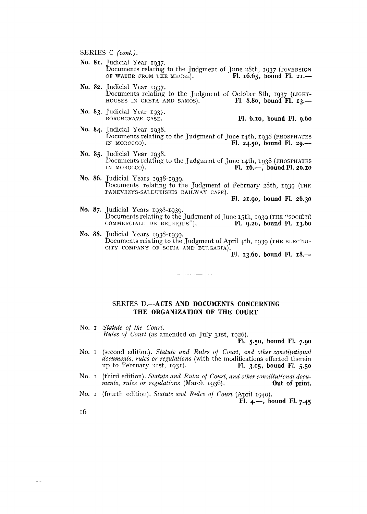- **No. 81.** Judicial Year 1937. Documents relating to the Judgment of June 28th, 1937 (DIVERSION OF WATER FROM THE MEUSE). FI. 16.65, bound Fl. 21. OF WATER FROM THE MEUSE).
- **No. 82.** Judicial Ycar 1937. Documents relating to the Judgment of October 8th, 1937 (LIGHT-<br>HOUSES IN CRETA AND SAMOS). Fl. 8.80, bound Fl. 13.— HOUSES IN CRETA AND SAMOS).
- No. 83. Judicial Year 1937.<br>BORCHGRAVE CASE.

BORCHGRAVE CASE. **F1. 6.10, bound F1. 9.60** 

- **No. 84.** Judicial Year 1938. Documents relating to the Judgment of June 14th, 1938 (PHOSPHATES IN MOROCCO). Fl. 24.50, bound Fl. 29.-
- **No. 85.** Judicial Year 1938. Documents relating to the Judgment of June 14th, 1938 (PHOSPHATES IN MOROCCO). Fl. 16.—, bound Fl. 20.10 IN MOROCCO). **FI. 16.-, bound F1. 20.10**
- **No. 86.** Judicial Years 1938-1939. Documents relating to the Judgment of February  $28th$ , 1939 (THE PANEVEZYS-SALDUTISKIS RAILWAY CASE).

**F1. 21.90, bound FI. 26.30** 

- **No. 87.** Judicial Years 1938-1939. Documents relating to the  ${\rm J}$ udgment of June 15th, 1939 (THE ''sociéti COMMERCIALE DE BELGIQUE"). **FI. 9.20, bound Fl. 13.60**
- **No. 88.** Judicinl Years 1938-1939. Documents relating to the Judgment of April 4th, 1939 (THE ELECTRI-CITY COMPANY OF SOFIA AND BULGARIA).

الأنار السيار وللمرابط

**F1. 13.60, bound F1. 18.-** 

#### SERIES **D.-ACTS AND DOCUMENTS CONCERNING THE ORGANIZATION OF THE COURT**

No. I *Statute of the Court.* 

*Rules of Court* (as amended on July 31st, 1926).

**F1. 5.50, bound F1. 7.90** 

- No. I (second edition). *Statute and Rules of Court, ami other constilutional*  documents, rules or regulations (with the modifications effected therein<br>up to February 21st, 1931). **FI.** 3.05, bound Fl. 5.50 up to February  $21st$ ,  $1931$ .
- No. I (third edition). *Statute and Rules of Court, and other constitutional documents, rules or regulations* (March 1936). **Out of print.** *ments, rules or regulations (March 1936).*
- No. *r* (fourth edition). *Statute and Rules of Court* (April 1940). **FI. 4.-, bound F1. 7.45**

**16** 

 $\sim$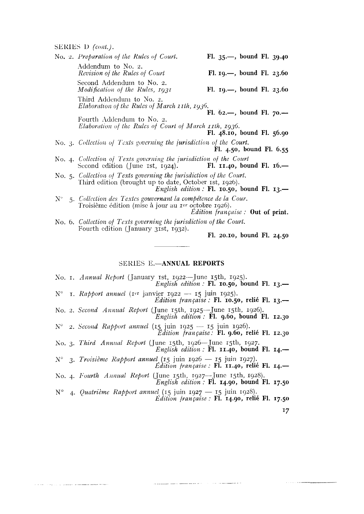a productive production of the second component

|  | No. 2. Preparation of the Rules of Court.                                                                                         | Fl. $35 -$ , bound Fl. $39.40$                  |
|--|-----------------------------------------------------------------------------------------------------------------------------------|-------------------------------------------------|
|  | Addendum to No. 2.<br>Revision of the Rules of Court                                                                              | Fl. $19. -$ , bound Fl. $23.60$                 |
|  | Second Addendum to No. 2.<br>Modification of the Rules, 1931                                                                      | Fl. $19. -$ , bound Fl. 23.60                   |
|  | Third Addendum to No. 2.<br>Elaboration of the Rules of March 11th, 1936.                                                         |                                                 |
|  | Fourth Addendum to No. 2.                                                                                                         | Fl. $62$ —, bound Fl. $70$ —                    |
|  | Elaboration of the Rules of Court of March 11th, 1936.                                                                            | Fl. 48.10, bound Fl. 56.90                      |
|  | No. 3. Collection of Texts governing the jurisdiction of the Court.                                                               | Fl. 4.50, bound Fl. 6.55                        |
|  | No. 4. Collection of Texts governing the jurisdiction of the Court<br>Second edition (June 1st, $1924$ ).                         | Fl. 11.40, bound Fl. $16$ .                     |
|  | No. 5. Collection of Texts governing the jurisdiction of the Court.<br>Third edition (brought up to date, October 1st, 1926).     | English edition : Fl. 10.50, bound Fl. 13.-     |
|  | $N^{\circ}$ 5. Collection des Textes gouvernant la compétence de la Cour.<br>Troisième édition (mise à jour au rer octobre 1926). | <i>Edition française</i> : <b>Out of print.</b> |
|  | No. 6. Collection of Texts governing the jurisdiction of the Court.                                                               |                                                 |
|  | Fourth edition (January 31st, 1932).                                                                                              |                                                 |
|  |                                                                                                                                   | Fl. 20.10, bound Fl. 24.50                      |

### SERIES E.-ANNUAL REPORTS

- No. I. Annual Report (January 1st, 1922—June 15th, 1925).<br>English edition : Fl. 10.50, bound Fl. 13.—
- N° 1. Rapport annuel (1er janvier 1922 15 juin 1925). Édition française : Fl. 10.50, relié Fl. 13.-
- No. 2. Second Annual Report (June 15th, 1925-June 15th, 1926). *English edition*:  $\check{F}$ l. 9.60, bound Fl. 12.30
- N° 2. Second Rapport annuel (15 juin 1925 15 juin 1926).<br> *Edition française*: **Fl. 9.60, relié Fl. 12.30**
- No. 3. Third Annual Report (June 15th, 1926-June 15th, 1927.<br>English edition: Fl. 11.40, bound Fl. 14.-
- $N^{\circ}$  3. Troisième Rapport annuel (15 juin 1926 15 juin 1927). Édition française : Fl. 11.40, relié Fl. 14.-
- No. 4. Fourth Annual Report (June 15th, 1927-June 15th, 1928). English edition: Fl. 14.90, bound Fl. 17.50
- N° 4. Quatrième Rapport annuel (15 juin 1927 15 juin 1928). *Édition française* : Fl. 14.90, relié Fl. 17.50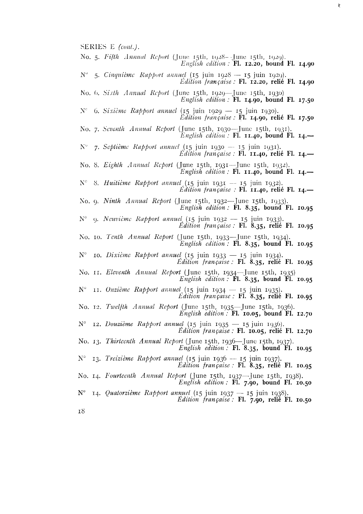- No. 5. Fifth Annual Report (June 15th, 1928 June 15th, 1929).
- English edition: Fl. 12.20, bound Fl. 14.90  $N^{\circ}$  5. Cinquième Rapport annuel (15 juin 1928 — 15 juin 1929).

į.

- $Edition$  [rançaise : Fl. 12.20, relié Fl. 14.90
- No. 6. Sixth Annual Report (June 15th, 1929—June 15th, 1930)<br>English edition: Fl. 14.90, bound Fl. 17.50
- $N^{\circ}$  6. Sixième Rapport annuel (15 juin 1929 15 juin 1930). *Edition française : Fl. 14.90, relié Fl. 17.50*
- No. 7. Seventh Annual Report (June 15th, 1930—June 15th, 1931). English edition : Fl. 11.40, bound Fl. 14.—
- N° 7. Septième Rapport annuel (15 juin 1930 -- 15 juin 1931).  $Ediition$  trançaise : Fl. 11.40, relié Fl. 14.-
- No. 8. Eighth Annual Report (June 15th, 1931—June 15th, 1932). English edition : Fl. 11.40, bound Fl. 14.—
- $N^c$  8. Huitième Rapport annuel (15 juin 1931 -- 15 juin 1932).  $Ediition$  trançaise : FI. 11.40, relié Fl. 14.—
- No. 9. Ninth Annual Report (June 15th, 1932—June 15th, 1933). English edition:  $\mathbf{F1.}$  8.35, bound  $\mathbf{F1.}$  10.95
- N° 9. Neuvième Rapport annuel (15 juin 1932 15 juin 1933).<br>Édition française : FI. 8.35, relié FI. 10.95
- No. 10. Tenth Annual Report (June 15th, 1933—June 15th, 1934).<br>English edition: Fl. 8.35, bound Fl. 10.95
- N° 10. Dixième Rapport annuel (15 juin 1933 15 juin 1934). Édition française : Fl. 8.35, relié Fl. 10.95
- No. II. Eleventh Annual Report (June 15th, 1934-June 15th, 1935)<br>English edition: Fl. 8.35, bound Fl. 10.95
- N° 11. Onzième Rapport annuel (15 juin 1934 15 juin 1935). Edition française : Fl. 8.35, relié Fl. 10.95
- No. 12. Twelfth Annual Report (June 15th, 1935-June 15th, 1936). English edition:  $F1.$  10.05, bound  $F1.$  12.70
- $N^{\circ}$  12. Douzième Rapport annuel (15 juin 1935 15 juin 1936). Edition française : Fl. 10.05, relié Fl. 12.70
- No. 13. Thirteenth Annual Report (June 15th, 1936—June 15th, 1937). English edition : Fl. 8.35, bound Fl. 10.95
- N° 13. Treizième Rapport annuel (15 juin 1936 15 juin 1937). Édition française : Fl. 8.35, relié Fl. 10.95
- No. 14. Fourteenth Annual Report (June 15th, 1937—June 15th, 1938). English edition: Fl. 7.90, bound Fl. 10.50
- $N^{\circ}$  14. *Quatorzième Rapport annuel* (15 juin 1937 15 juin 1938). Edition française: Fl. 7.90, relié Fl. 10.50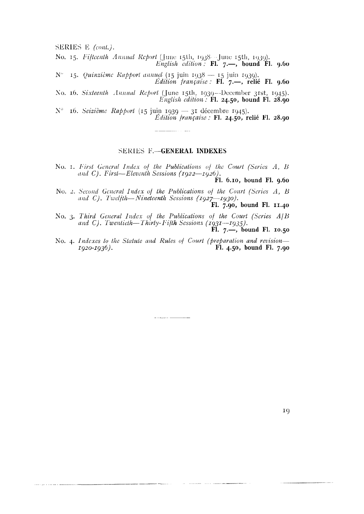No. 15. Fifteenth Annual Report (June 15th, 1938 -June 15th, 1939). English edition  $\tilde{F}$  Fl. 7.  $\rightarrow$  bound  $\tilde{F}$ l. 9.60

N° 15. Quinzième Rapport annuel (15 juin 1938 – 15 juin 1939).<br> *Édition française* : Fl. 7. -, relié Fl. 9.60

No. 16. Sixteenth Annual Report (June 15th, 1939-December 31st, 1945). English edition :  $F1.24.50$ , bound Fl. 28.90

 $N^{\circ}$  16. Seizième Rapport (15 juin 1939 — 31 décembre 1945). Édition française : Fl. 24.50, relié Fl. 28.90

#### **SERIES F.-GENERAL INDEXES**

No. 1. First General Index of the Publications of the Court (Series A, B and C). First-Eleventh Sessions (1922-1926).

Fl. 6.10, bound Fl. 9.60

No. 2. Second General Index of the Publications of the Court (Series A, B and C). Twelfth--Nineteenth Sessions (1927-1930).

Fl. 7.90, bound Fl. 11.40

- No. 3. Third General Index of the Publications of the Court (Scries A|B and C). Twentieth-Thirty-Fifth Sessions (1931-1935). Fl.  $7.$ —, bound Fl. 10.50
- No. 4. Indexes to the Statute and Rules of Court (preparation and revision-Fl. 4.50, bound Fl. 7.90  $Iq20-Iq36$ .

 $\frac{1}{2} \left( \frac{1}{2} \left( \frac{1}{2} \left( \frac{1}{2} \left( \frac{1}{2} \left( \frac{1}{2} \right) \right) + \frac{1}{2} \left( \frac{1}{2} \left( \frac{1}{2} \right) \right) \right) \right) + \frac{1}{2} \left( \frac{1}{2} \left( \frac{1}{2} \left( \frac{1}{2} \left( \frac{1}{2} \right) \right) + \frac{1}{2} \left( \frac{1}{2} \left( \frac{1}{2} \right) \right) \right) \right) + \frac{1}{2} \left( \frac{1}{2} \left( \frac$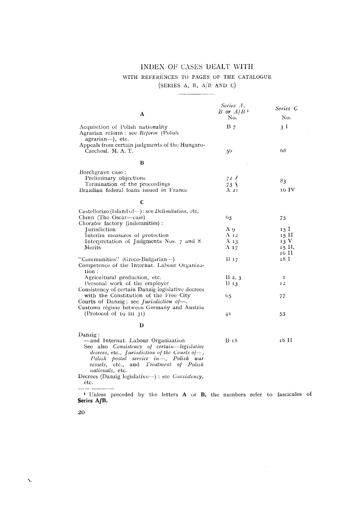## INDEX OF CASES DEALT WITH

## WITH REFERENCES TO PAGES OF THE CATALOGUE

(SERIES A, B,  $A/B$  AND C)  $\overline{\phantom{a}}$ 

 $\mathcal{A}$ 

|                                                                                                                                                                                                                                                           | Series A,<br>$B$ or $A/B1$         | Sevies C         |
|-----------------------------------------------------------------------------------------------------------------------------------------------------------------------------------------------------------------------------------------------------------|------------------------------------|------------------|
| A                                                                                                                                                                                                                                                         | No.                                | No.              |
| Acquisition of Polish nationality<br>Agrarian reform : see Reform (Polish<br>agrarian—), etc.                                                                                                                                                             | $B_7$                              | 3 I              |
| Appeals from certain judgments of the Hungaro-<br>Czechosl. M. A. T.                                                                                                                                                                                      | 50                                 | 68               |
| B                                                                                                                                                                                                                                                         |                                    |                  |
| Borchgrave case:<br>Preliminary objections<br>Termination of the proceedings<br>Brazilian federal loans issued in France                                                                                                                                  | 72l<br>73 <sub>1</sub><br>$A_{21}$ | 83<br>16 IV      |
| $\mathbf c$                                                                                                                                                                                                                                               |                                    |                  |
| Castellorizo (Island of--): see <i>Delimitation</i> , etc.<br>Chinn (The Oscar-case)<br>Chorzów factory (indemnities):                                                                                                                                    | 63                                 | 75               |
| <b>Iurisdiction</b>                                                                                                                                                                                                                                       | Aθ                                 | 13 I             |
| Interim measures of protection                                                                                                                                                                                                                            | $A_{12}$                           | $15$ $\text{II}$ |
| Interpretation of Judgments Nos. 7 and 8                                                                                                                                                                                                                  | A $13$                             | 13 V             |
| Merits                                                                                                                                                                                                                                                    | $A_{17}$                           | 15 II,           |
| "Communities" (Greco-Bulgarian—)                                                                                                                                                                                                                          | $B_{17}$                           | 16 II<br>18 I    |
| Competence of the Internat. Labour Organiza-<br>tion:                                                                                                                                                                                                     |                                    |                  |
| Agricultural production, etc.                                                                                                                                                                                                                             | $B_2, 3$                           | 1                |
| Personal work of the employer                                                                                                                                                                                                                             | B <sub>13</sub>                    | 12               |
| Consistency of certain Danzig legislative decrees<br>with the Constitution of the Free City<br>Courts of Danzig: see <i>Jurisdiction of</i>                                                                                                               | 65                                 | 77               |
| Customs régime between Germany and Austria<br>(Protocol of 19 III 31)                                                                                                                                                                                     | 41                                 | 53               |
| D                                                                                                                                                                                                                                                         |                                    |                  |
| Danzig:<br>-and Internat. Labour Organization<br>See also Consistency of certain-legislative<br>decrees, etc., Jurisdiction of the Courts of-<br>Polish postal service in-, Polish war<br>vessels, etc., and Treatment of Polish<br><i>untionals</i> etc. | B <sub>18</sub>                    | 18 H             |

nationals, etc.<br>Decrees (Danzig legislative-) : see *Consistency*, etc.

<sup>1</sup> Unless preceded by the letters **A** or **B**, the numbers refer to fascicules of **Series A/B.** 

 $\hat{A}$ 

20

 $\sim$   $\sim$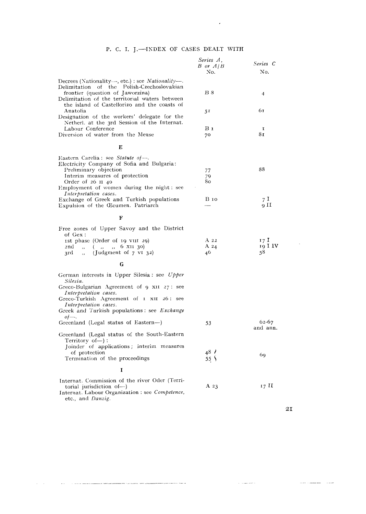$\sim 10^{-10}$ 

|                                                                                                                                                                                                                                                                       | Series A,<br>$B$ or $A/B$<br>No. | Series C<br>No.       |
|-----------------------------------------------------------------------------------------------------------------------------------------------------------------------------------------------------------------------------------------------------------------------|----------------------------------|-----------------------|
| Decrees (Nationality---, etc.) : see Nationality-<br>Delimitation of the Polish-Czechoslovakian<br>frontier (question of Jaworzina)<br>Delimitation of the territorial waters between<br>the island of Castellorizo and the coasts of                                 | <b>B</b> 8                       | $\overline{4}$        |
| Anatolia<br>Designation of the workers' delegate for the<br>Netherl, at the 3rd Session of the Internat.                                                                                                                                                              | 51                               | 61                    |
| Labour Conference<br>Diversion of water from the Meuse                                                                                                                                                                                                                | $B_1$<br>70                      | $\mathbf{r}$<br>81    |
| E                                                                                                                                                                                                                                                                     |                                  |                       |
| Eastern Carelia : see Statute of-<br>Electricity Company of Sofia and Bulgaria:<br>Preliminary objection<br>Interim measures of protection<br>Order of 26 II 40<br>Employment of women during the night: see<br>Interpretation cases.                                 | 77<br>79<br>80                   | 88                    |
| Exchange of Greek and Turkish populations<br>Expulsion of the Œcumen. Patriarch                                                                                                                                                                                       | <b>B</b> 10                      | 7 I<br>11 o           |
| F                                                                                                                                                                                                                                                                     |                                  |                       |
| Free zones of Upper Savoy and the District<br>of Gex :<br>ist phase (Order of 19 VIII 29)<br>$\left(\begin{array}{cc} , , & , , & 6 \end{array} \right)$ x <sub>11</sub> 30)<br>2nd<br>(Judgment of $7$ VI 32)<br>3rd<br>$\overline{\phantom{a}}$                     | A <sub>22</sub><br>A $24$<br>46  | 17 I<br>19 I IV<br>58 |
| G                                                                                                                                                                                                                                                                     |                                  |                       |
| German interests in Upper Silesia: see Upper<br>Silesia.<br>Greco-Bulgarian Agreement of $9 \times 11$ $27$ : see<br>Interpretation cases.<br>Greco-Turkish Agreement of 1 XII 26: see<br>Interpretation cases.<br>Greek and Turkish populations: see <i>Exchange</i> |                                  |                       |
| $of$ —.<br>Greenland (Legal status of Eastern--)                                                                                                                                                                                                                      | 53                               | $62 - 67$<br>and ann. |
| Greenland (Legal status of the South-Eastern<br>Territory of-):<br>Joinder of applications; interim measures<br>of protection<br>Termination of the proceedings                                                                                                       | 48/<br>55 Y                      | 69                    |
| I                                                                                                                                                                                                                                                                     |                                  |                       |
| Internat. Commission of the river Oder (Terri-<br>torial jurisdiction of-<br>Internat. Labour Organization : see Competence,<br>etc., and Danzig.                                                                                                                     | A $23$                           | 17 H                  |

 $\alpha=1$ 

 $\sim$ 

and the companion of the company

 $\hat{z}$  . The maximum  $\hat{z}$ 

 $\sim 10^7$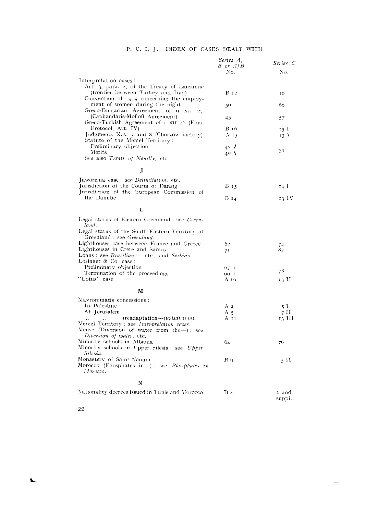|                                                                                                 | Series A,<br>$B$ or $A/B$<br>No. | Series C<br>No. |
|-------------------------------------------------------------------------------------------------|----------------------------------|-----------------|
| Interpretation cases :                                                                          |                                  |                 |
| Art. 3, para. 2, of the Treaty of Lausanne                                                      |                                  |                 |
| (frontier between Turkey and Iraq)<br>Convention of 1919 concerning the employ-                 | <b>B</b> 12                      | ю               |
| ment of women during the night<br>Greco-Bulgarian Agreement of $9 \times 11$ $27$               | 50                               | 60              |
| (Caphandaris-Molloff Agreement)<br>Greco-Turkish Agreement of 1 XII 26 (Final                   | 45                               | 57              |
| Protocol, Art. IV)                                                                              | <b>B</b> 16                      | 15 I            |
| Judgments Nos. 7 and 8 (Chorzów factory)<br>Statute of the Memel Territory:                     | A <sub>13</sub>                  | 13 V            |
| Preliminary objection                                                                           | 47 <sup>7</sup>                  | 59              |
| Merits<br>See also Treaty of Neuilly, etc.                                                      | 49 <sup>0</sup>                  |                 |
| J                                                                                               |                                  |                 |
| Jaworzina case: see <i>Delimitation</i> , etc.                                                  |                                  |                 |
| Jurisdiction of the Courts of Danzig                                                            | B 15                             | $I_4$ I         |
| Jurisdiction of the European Commission of                                                      |                                  |                 |
| the Danube                                                                                      | <b>B</b> 14                      | 13 IV           |
| L                                                                                               |                                  |                 |
| Legal status of Eastern Greenland : see Green-<br>land.                                         |                                  |                 |
| Legal status of the South-Eastern Territory of                                                  |                                  |                 |
| Greenland : see Greenland.                                                                      |                                  |                 |
| Lighthouses case between France and Greece                                                      | 62                               | 74              |
| Lighthouses in Crete and Samos                                                                  | 71                               | 8 <sub>2</sub>  |
| Loans : see Brazilian-, etc., and Serbian-<br>Losinger & Co. case :                             |                                  |                 |
| Preliminary objection                                                                           |                                  |                 |
| Termination of the proceedings                                                                  | 67 i                             | 78              |
| "Lotus" case                                                                                    | 60 I<br>A 10                     | 13 H            |
|                                                                                                 |                                  |                 |
| м                                                                                               |                                  |                 |
| Mavrommatis concessions :                                                                       |                                  |                 |
| In Palestine                                                                                    | A <sub>2</sub>                   | 5 I             |
| At Jerusalem                                                                                    | A 5                              | 7 H             |
| (readaptation— <i>iprisdiction</i> )                                                            | A 11                             | 13 HI           |
| Memel Territory : see Interpretation cases.                                                     |                                  |                 |
| Meuse (Diversion of water from the—): see                                                       |                                  |                 |
| Diversion of water, etc.                                                                        |                                  |                 |
| Minority schools in Albania<br>Minority schools in Upper Silesia : see <i>Upper</i><br>Silesia. | 64                               | 76              |
| Monastery of Saint-Naoum                                                                        | Βg                               | 5 H             |
| Morocco (Phosphates in-): see <i>Phosphates in</i><br>Morocco.                                  |                                  |                 |
| N                                                                                               |                                  |                 |
| Nationality decrees issued in Tunis and Morocco                                                 | Β4                               | 2 and           |
|                                                                                                 |                                  | suppl.          |

 $\overline{a}$ 

22

 $\overline{\phantom{a}}$ 

 $\mathbf{L}$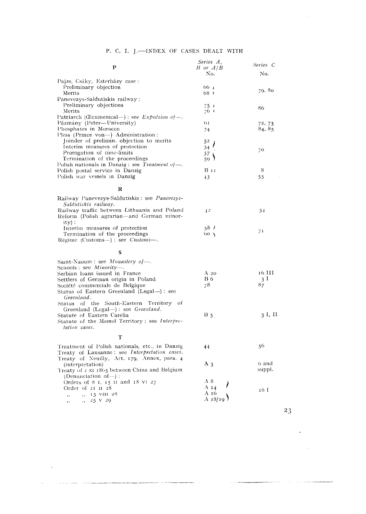|                                                                   | Series A,       | Series C       |
|-------------------------------------------------------------------|-----------------|----------------|
| Р                                                                 | $B$ or $A/B$    |                |
|                                                                   | No.             | No.            |
| Pajzs, Csáky, Esterházy case:                                     |                 |                |
| Preliminary objection                                             | 66 - 1          | 79, 80         |
| Merits                                                            | 68 1            |                |
| Panevezys-Saldutiskis railway:                                    |                 |                |
| Preliminary objections<br>Merits                                  | $75 +$          | 86             |
| Patriarch (Coumenical—): see <i>Expulsion of—</i> .               | 76 1            |                |
| Pázmány (Peter—University)                                        | 1 <sub>O</sub>  | 72, 73         |
| Phosphates in Morocco                                             | 74              | 84, 85         |
| Pless (Prince von-) Administration:                               |                 |                |
| Joinder of prelimin. objection to merits                          | 52              |                |
| Interim measures of protection                                    | 54              |                |
| Prorogation of time-limits                                        | 57              | 70             |
| Termination of the proceedings                                    | 59.             |                |
| Polish nationals in Danzig : see <i>Treatment of</i> —.           |                 |                |
| Polish postal service in Danzig                                   | Ви              | 8              |
| Polish war vessels in Danzig                                      | $+3$            | 55             |
|                                                                   |                 |                |
| R                                                                 |                 |                |
| Railway Panevezys-Saldutiskis: see Panevezys-                     |                 |                |
| Saldutiskis railway.                                              |                 |                |
| Railway traffic between Lithuania and Poland                      | $+2$            | 54             |
| Reform (Polish agrarian—and German minor-                         |                 |                |
| $itv$ :                                                           |                 |                |
| Interim measures of protection                                    | .587            |                |
| Termination of the proceedings                                    | 60 <sub>1</sub> | 71             |
| Régime (Customs--) : see Customs-                                 |                 |                |
|                                                                   |                 |                |
| s                                                                 |                 |                |
| Saint-Naoum: see Monastery of-                                    |                 |                |
| Schools: see $Minority$ .                                         |                 |                |
| Serbian loans issued in France                                    | $A_{20}$        | 16 HI          |
| Settlers of German origin in Poland                               | B 6             | 3 <sup>1</sup> |
| Société commerciale de Belgique                                   | 78              | 87             |
| Status of Eastern Greenland (Legal--): see                        |                 |                |
| Greenland.                                                        |                 |                |
| Status of the South-Eastern Territory of                          |                 |                |
| Greenland $(Legal-)$ : see <i>Greenland</i> .                     |                 |                |
| Statute of Eastern Carelia                                        | $B_5$           | 3 I, II        |
| Statute of the Memel Territory; see Interpre-                     |                 |                |
| tation cases.                                                     |                 |                |
| т                                                                 |                 |                |
|                                                                   |                 |                |
| Treatment of Polish nationals, etc., in Danzig                    | 44              | 56             |
| Treaty of Lausanne: see Interpretation cases.                     |                 |                |
| Treaty of Neuilly, Art. 179, Annex, para. 4                       | $A_3$           | 6 and          |
| (interpretation)<br>Treaty of 2 x1 1865 between China and Belgium |                 | suppl.         |
| (Denunciation of-):                                               |                 |                |
| Orders of $8$ 1, 15 II and $18$ VI 27                             | A8              |                |
| Order of 21 11 28                                                 | A $14$          |                |
| $\frac{1}{2}$ , 13 VIII 28<br>$\overline{\phantom{a}}$            | A 16            | 16 I           |
| $\frac{1}{2}$ , 25 V 29<br>$, \,$                                 | A 18/19         |                |
|                                                                   |                 |                |

 $\sim 10^{-11}$ 

د است ده اس

 $\sim$ 

 $\sim$  . The contract of the contract of the contract of the contract of the contract of the contract of the contract of

23

. . . . . .

 $\sim 100$  and

 $\Box$ 

 $\sim$   $\sim$ 

ستشامل والمراد

 $\sim$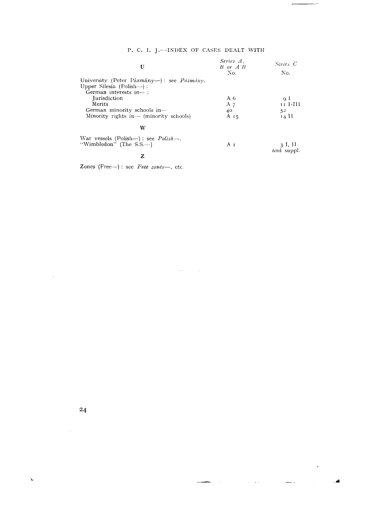÷

 $\ddot{\phantom{1}}$ 

Æ

| U                                         | Series A.<br>$B$ or $A$ <sup><math>\prime</math></sup> $B$ | Series C              |
|-------------------------------------------|------------------------------------------------------------|-----------------------|
|                                           | No.                                                        | No.                   |
| University (Peter Pázmány—): see Pázmány. |                                                            |                       |
| Upper Silesia (Polish—):                  |                                                            |                       |
| German interests in--:                    |                                                            |                       |
| <i><u>Iurisdiction</u></i>                | A $6$                                                      | -o I                  |
| Merits                                    | A $7$                                                      | 11 I-III              |
| German minority schools in-               | 40                                                         | 5 <sup>2</sup>        |
| Minority rights in— (minority schools)    | A <sub>15</sub>                                            | 14 H                  |
| w                                         |                                                            |                       |
| War vessels (Polish—): see $Polish$ —.    |                                                            |                       |
| "Wimbledon" (The $S.S.$ —)                | Αи                                                         | 3 I, II<br>and suppl. |

 $\sim$  114  $\sim$  10  $\sim$  114  $\sim$ 

 $\mathbf{z}$ 

Zones (Free $-$ ): see Free zones $-$ , etc.

 $\mathbb{R}^2$ 

 $\mathbf{v}$ 

 $\bar{\beta}$